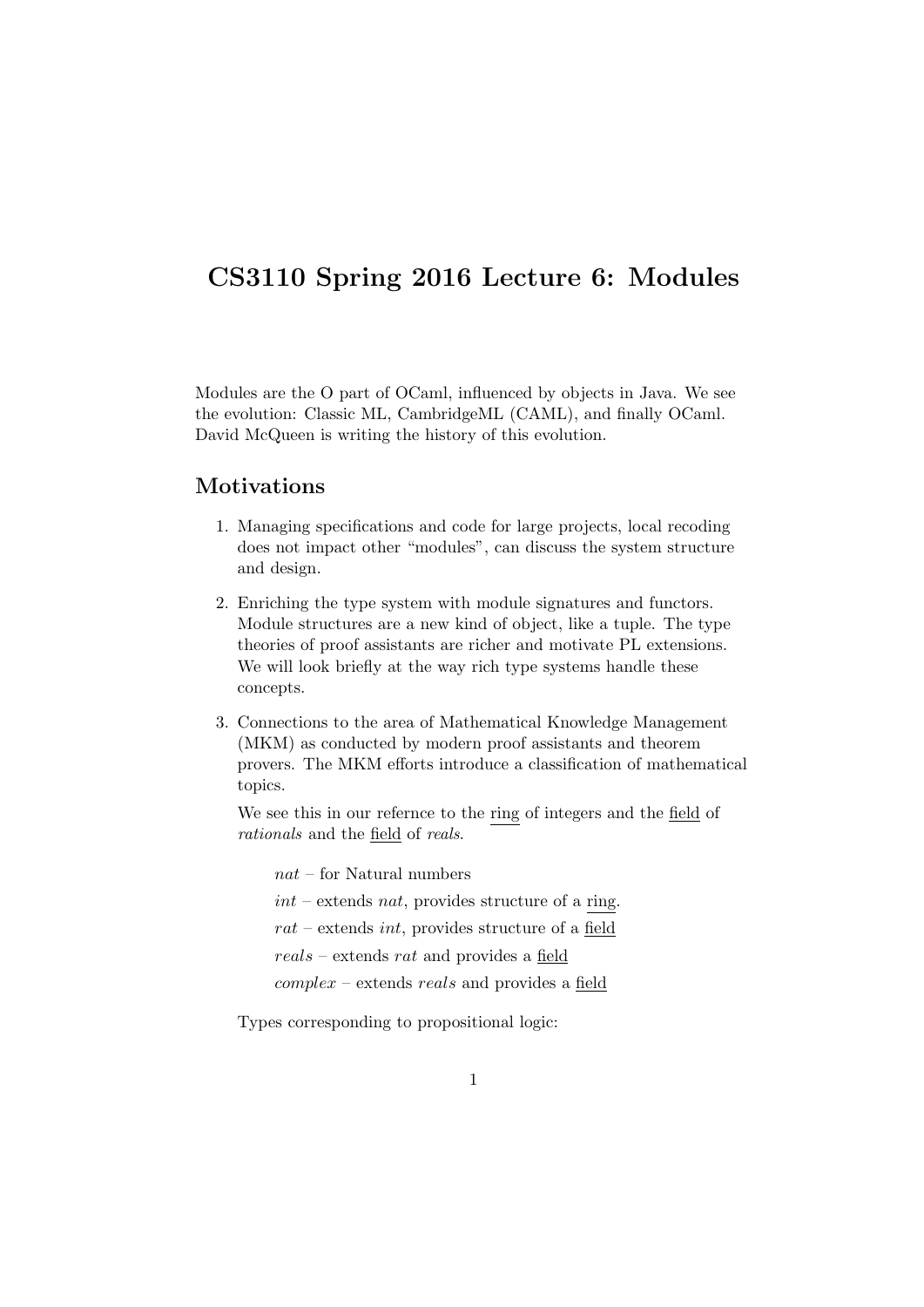## CS3110 Spring 2016 Lecture 6: Modules

Modules are the O part of OCaml, influenced by objects in Java. We see the evolution: Classic ML, CambridgeML (CAML), and finally OCaml. David McQueen is writing the history of this evolution.

## **Motivations**

- 1. Managing specifications and code for large projects, local recoding does not impact other "modules", can discuss the system structure and design.
- 2. Enriching the type system with module signatures and functors. Module structures are a new kind of object, like a tuple. The type theories of proof assistants are richer and motivate PL extensions. We will look briefly at the way rich type systems handle these concepts.
- 3. Connections to the area of Mathematical Knowledge Management (MKM) as conducted by modern proof assistants and theorem provers. The MKM efforts introduce a classification of mathematical topics.

We see this in our refernce to the ring of integers and the field of rationals and the field of reals.

 $nat$  – for Natural numbers  $int$  – extends *nat*, provides structure of a ring.  $rat$  – extends *int*, provides structure of a field reals – extends rat and provides a field complex – extends reals and provides a field

Types corresponding to propositional logic: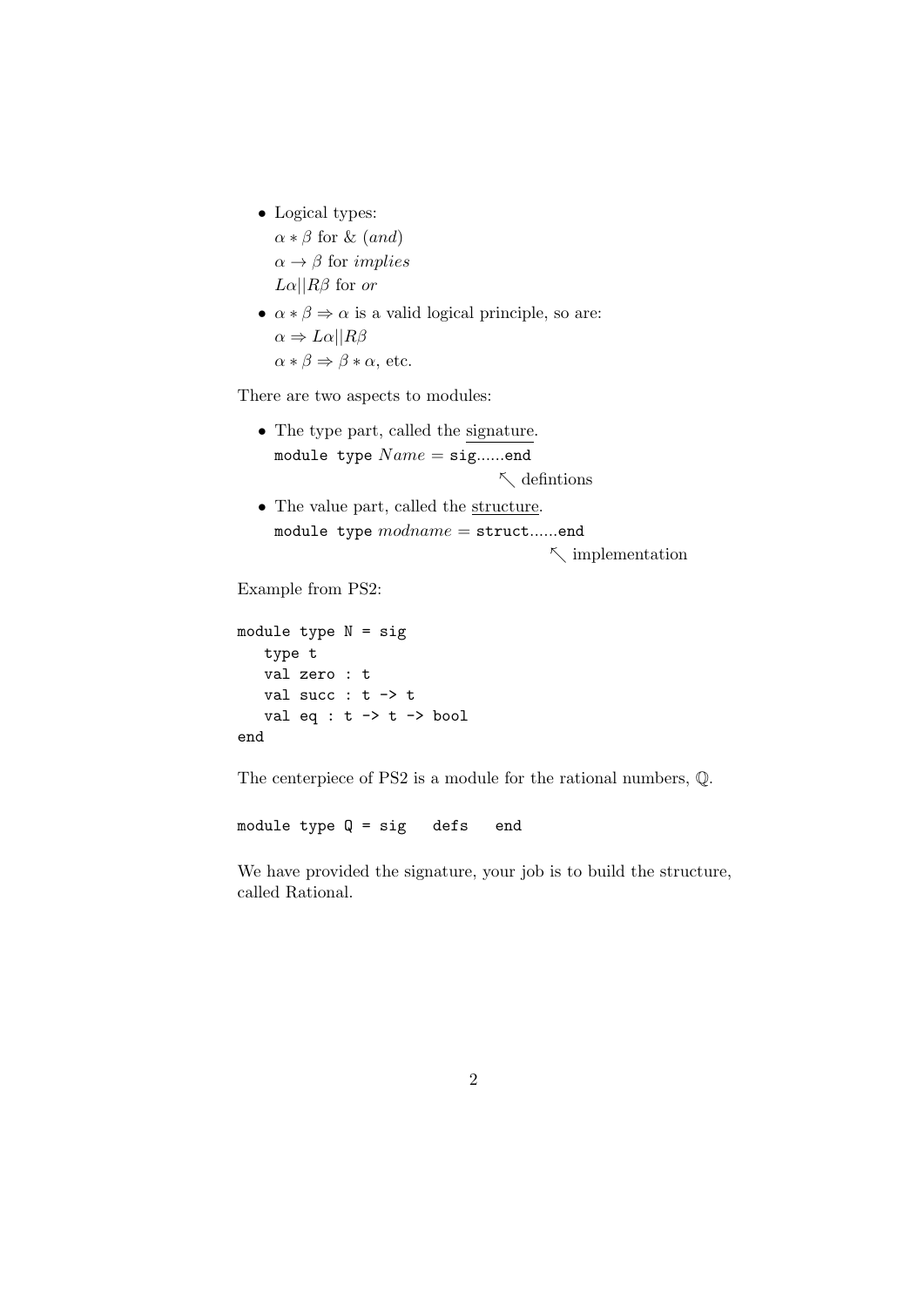• Logical types:  $\alpha * \beta$  for & (and)  $\alpha \rightarrow \beta$  for *implies*  $L\alpha||R\beta$  for or

•  $\alpha * \beta \Rightarrow \alpha$  is a valid logical principle, so are:  $\alpha \Rightarrow L\alpha||R\beta$  $\alpha * \beta \Rightarrow \beta * \alpha$ , etc.

There are two aspects to modules:

- The type part, called the signature. module type  $Name = sig.....$ end  $\sim$  defintions
- The value part, called the structure. module type  $modname =$  struct......end

 $\sim$  implementation

```
Example from PS2:
```

```
module type N = sigtype t
   val zero : t
   val succ : t \rightarrow tval eq : t \rightarrow t \rightarrow bool
end
```
The centerpiece of PS2 is a module for the rational numbers, Q.

module type  $Q = sig$  defs end

We have provided the signature, your job is to build the structure, called Rational.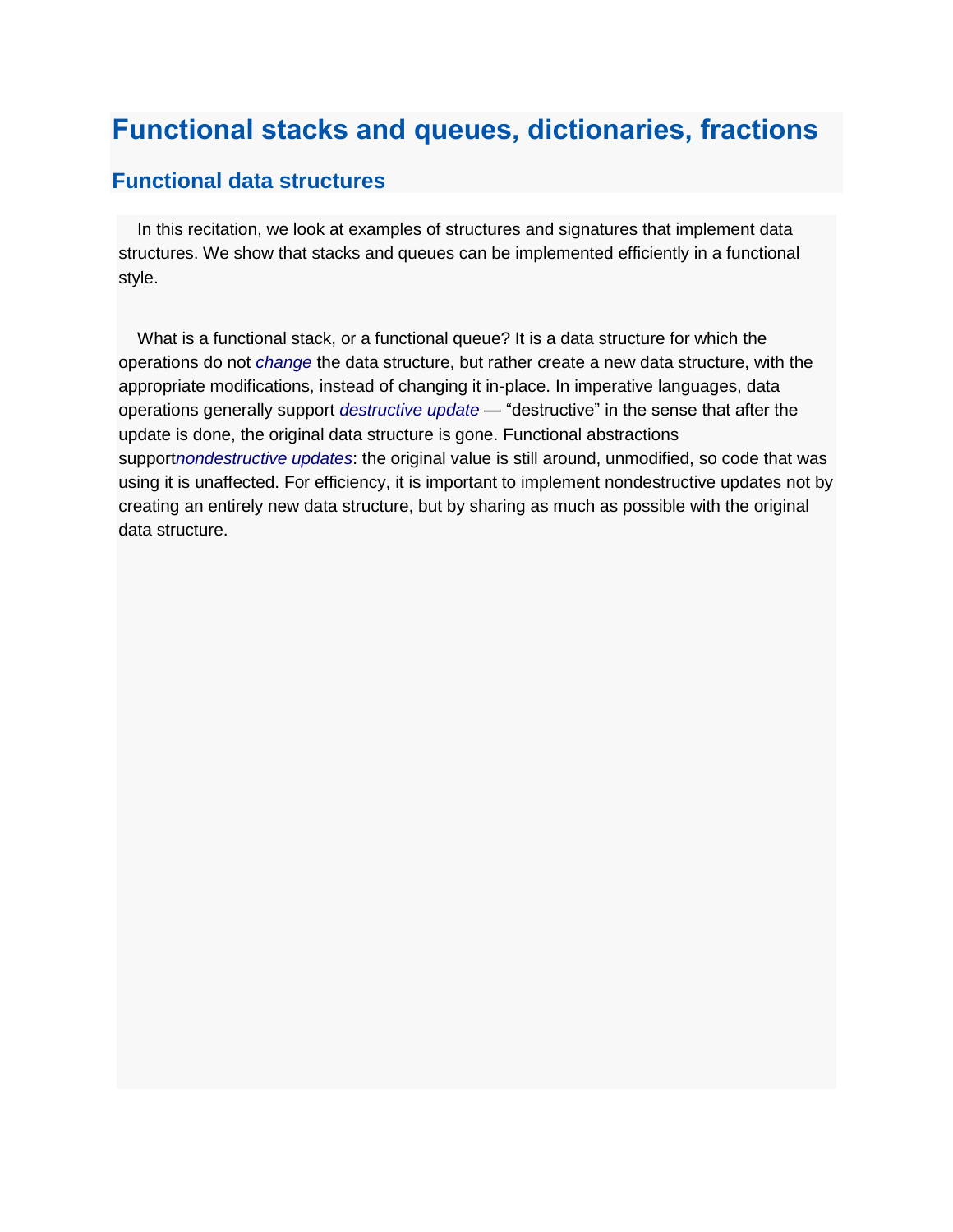# **Functional stacks and queues, dictionaries, fractions**

## **Functional data structures**

In this recitation, we look at examples of structures and signatures that implement data structures. We show that stacks and queues can be implemented efficiently in a functional style.

What is a functional stack, or a functional queue? It is a data structure for which the operations do not *change* the data structure, but rather create a new data structure, with the appropriate modifications, instead of changing it in-place. In imperative languages, data operations generally support *destructive update* — "destructive" in the sense that after the update is done, the original data structure is gone. Functional abstractions support*nondestructive updates*: the original value is still around, unmodified, so code that was using it is unaffected. For efficiency, it is important to implement nondestructive updates not by creating an entirely new data structure, but by sharing as much as possible with the original data structure.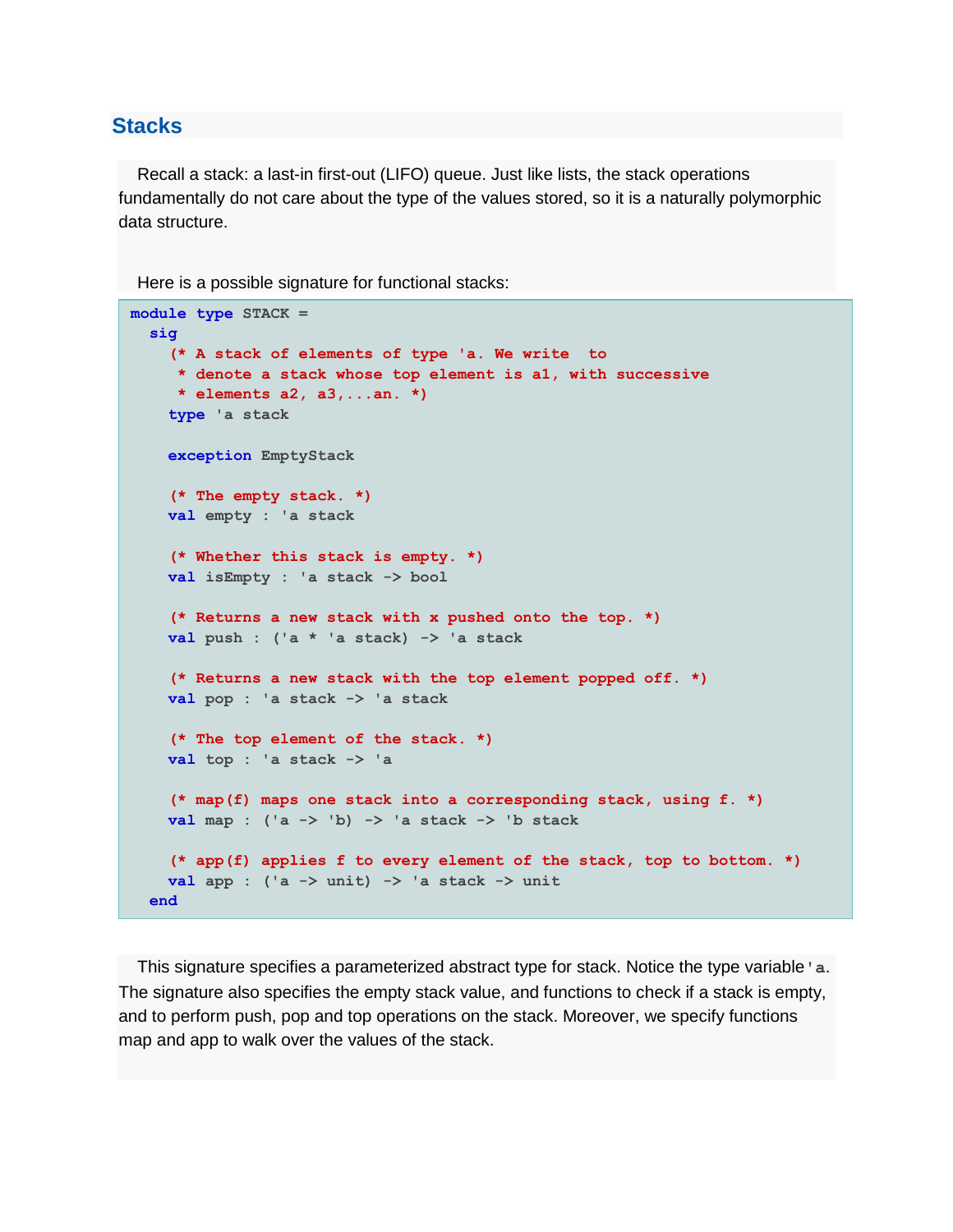## **Stacks**

Recall a stack: a last-in first-out (LIFO) queue. Just like lists, the stack operations fundamentally do not care about the type of the values stored, so it is a naturally polymorphic data structure.

Here is a possible signature for functional stacks:

```
module type STACK =
  sig
     (* A stack of elements of type 'a. We write to
      * denote a stack whose top element is a1, with successive
     * elements a2, a3,...an. *)
     type 'a stack
    exception EmptyStack
     (* The empty stack. *)
     val empty : 'a stack
     (* Whether this stack is empty. *)
     val isEmpty : 'a stack -> bool
     (* Returns a new stack with x pushed onto the top. *)
     val push : ('a * 'a stack) -> 'a stack
     (* Returns a new stack with the top element popped off. *)
     val pop : 'a stack -> 'a stack
     (* The top element of the stack. *)
     val top : 'a stack -> 'a
     (* map(f) maps one stack into a corresponding stack, using f. *)
     val map : ('a -> 'b) -> 'a stack -> 'b stack
     (* app(f) applies f to every element of the stack, top to bottom. *)
     val app : ('a -> unit) -> 'a stack -> unit
   end
```
This signature specifies a parameterized abstract type for stack. Notice the type variable**'a**. The signature also specifies the empty stack value, and functions to check if a stack is empty, and to perform push, pop and top operations on the stack. Moreover, we specify functions map and app to walk over the values of the stack.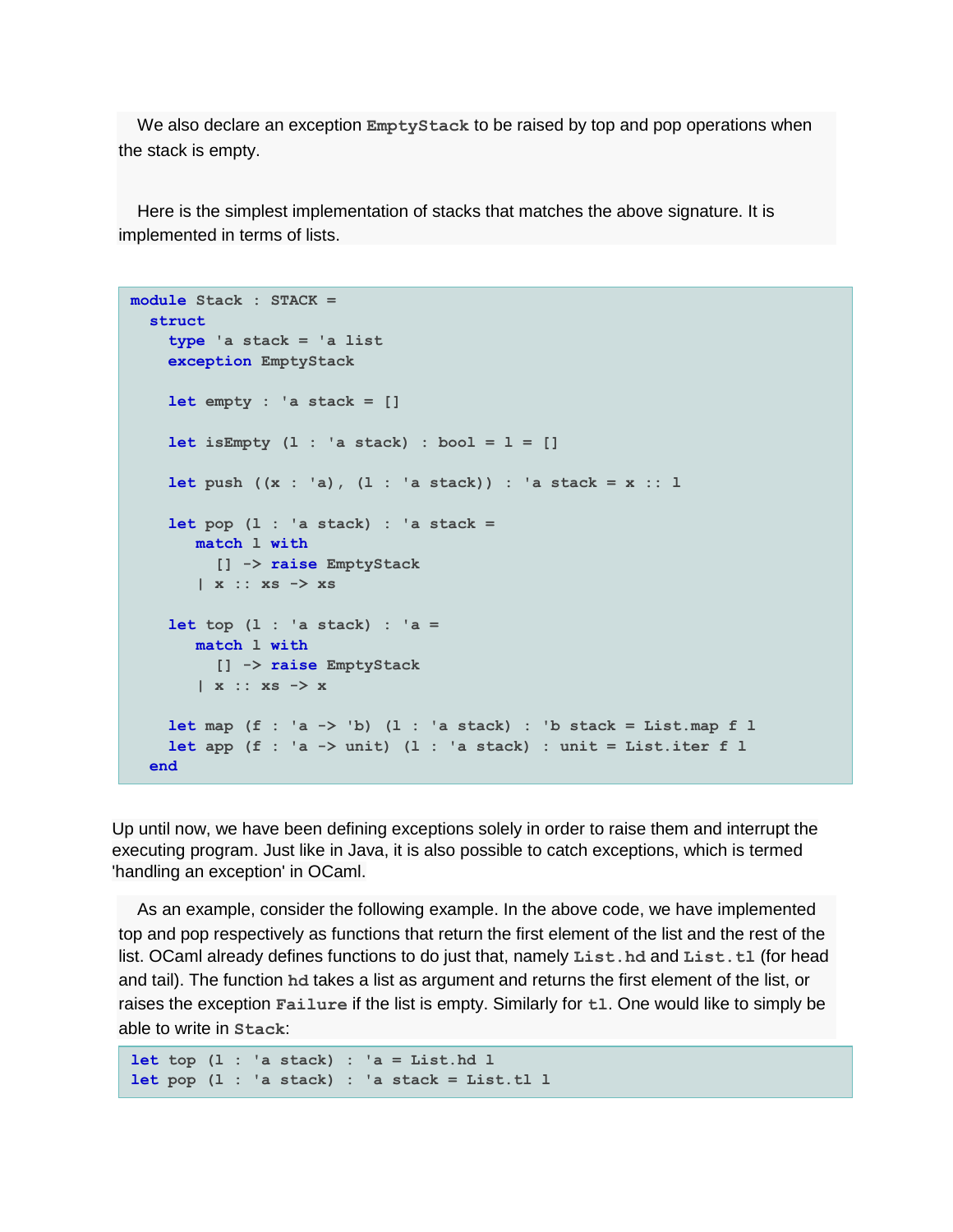We also declare an exception **EmptyStack** to be raised by top and pop operations when the stack is empty.

Here is the simplest implementation of stacks that matches the above signature. It is implemented in terms of lists.

```
module Stack : STACK = 
   struct
    type 'a stack = 'a list
    exception EmptyStack
     let empty : 'a stack = []
    let isEmpty (1 : 'a stack) : book = 1 = [] let push ((x : 'a), (l : 'a stack)) : 'a stack = x :: l
     let pop (l : 'a stack) : 'a stack = 
        match l with
         [] -> raise EmptyStack
        | x :: xs -> xs
     let top (l : 'a stack) : 'a = 
        match l with
          [] -> raise EmptyStack
        | x :: xs -> x
     let map (f : 'a -> 'b) (l : 'a stack) : 'b stack = List.map f l
     let app (f : 'a -> unit) (l : 'a stack) : unit = List.iter f l
   end
```
Up until now, we have been defining exceptions solely in order to raise them and interrupt the executing program. Just like in Java, it is also possible to catch exceptions, which is termed 'handling an exception' in OCaml.

As an example, consider the following example. In the above code, we have implemented top and pop respectively as functions that return the first element of the list and the rest of the list. OCaml already defines functions to do just that, namely **List.hd** and **List.tl** (for head and tail). The function **hd** takes a list as argument and returns the first element of the list, or raises the exception **Failure** if the list is empty. Similarly for **tl**. One would like to simply be able to write in **Stack**:

```
let top (l : 'a stack) : 'a = List.hd l
let pop (l : 'a stack) : 'a stack = List.tl l
```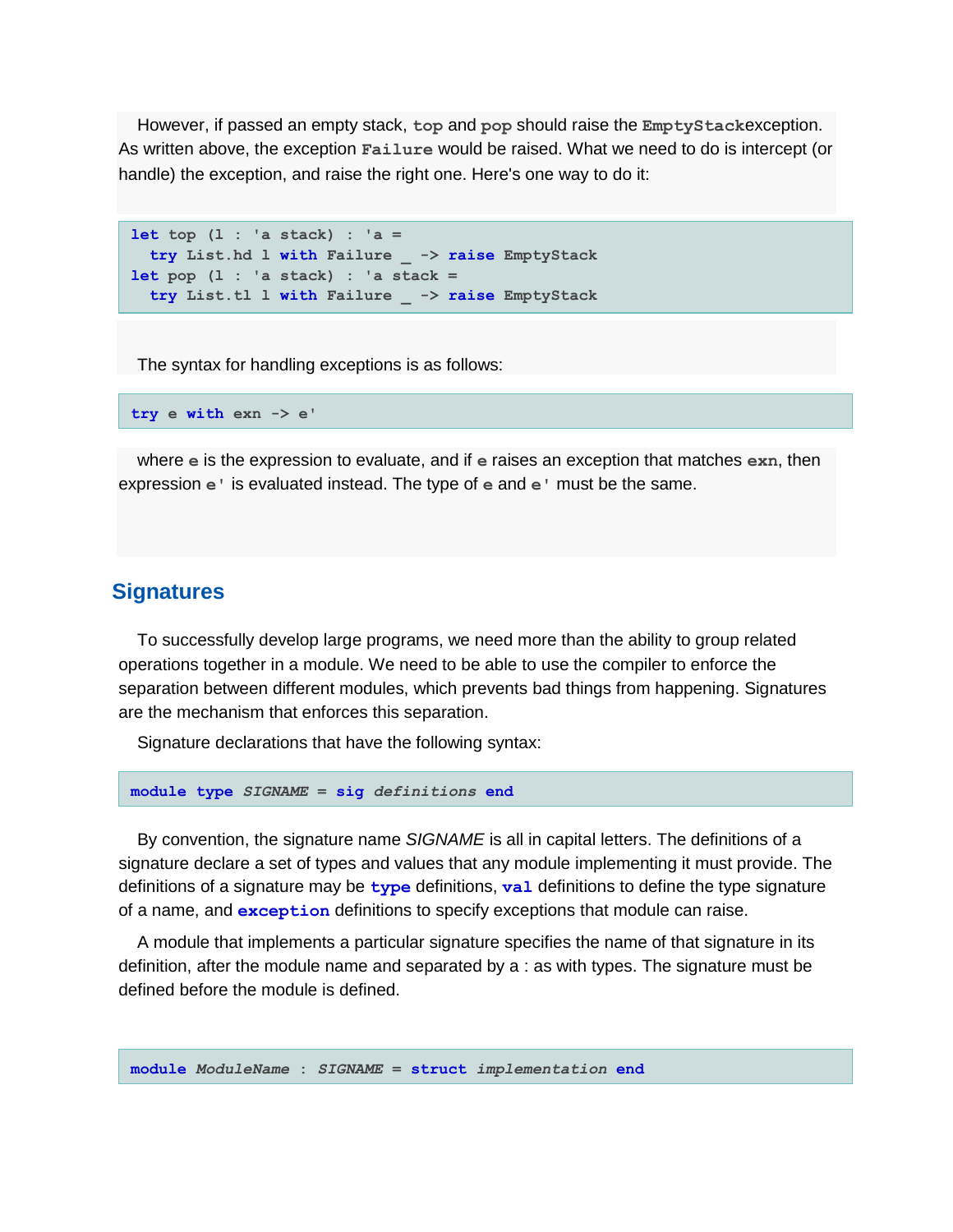However, if passed an empty stack, **top** and **pop** should raise the **EmptyStack**exception. As written above, the exception **Failure** would be raised. What we need to do is intercept (or handle) the exception, and raise the right one. Here's one way to do it:

```
let top (l : 'a stack) : 'a =
   try List.hd l with Failure _ -> raise EmptyStack
let pop (l : 'a stack) : 'a stack =
   try List.tl l with Failure _ -> raise EmptyStack
```
The syntax for handling exceptions is as follows:

**try e with exn -> e'**

where **e** is the expression to evaluate, and if **e** raises an exception that matches **exn**, then expression **e'** is evaluated instead. The type of **e** and **e'** must be the same.

## **Signatures**

To successfully develop large programs, we need more than the ability to group related operations together in a module. We need to be able to use the compiler to enforce the separation between different modules, which prevents bad things from happening. Signatures are the mechanism that enforces this separation.

Signature declarations that have the following syntax:

```
module type SIGNAME = sig definitions end
```
By convention, the signature name *SIGNAME* is all in capital letters. The definitions of a signature declare a set of types and values that any module implementing it must provide. The definitions of a signature may be **type** definitions, **val** definitions to define the type signature of a name, and **exception** definitions to specify exceptions that module can raise.

A module that implements a particular signature specifies the name of that signature in its definition, after the module name and separated by a : as with types. The signature must be defined before the module is defined.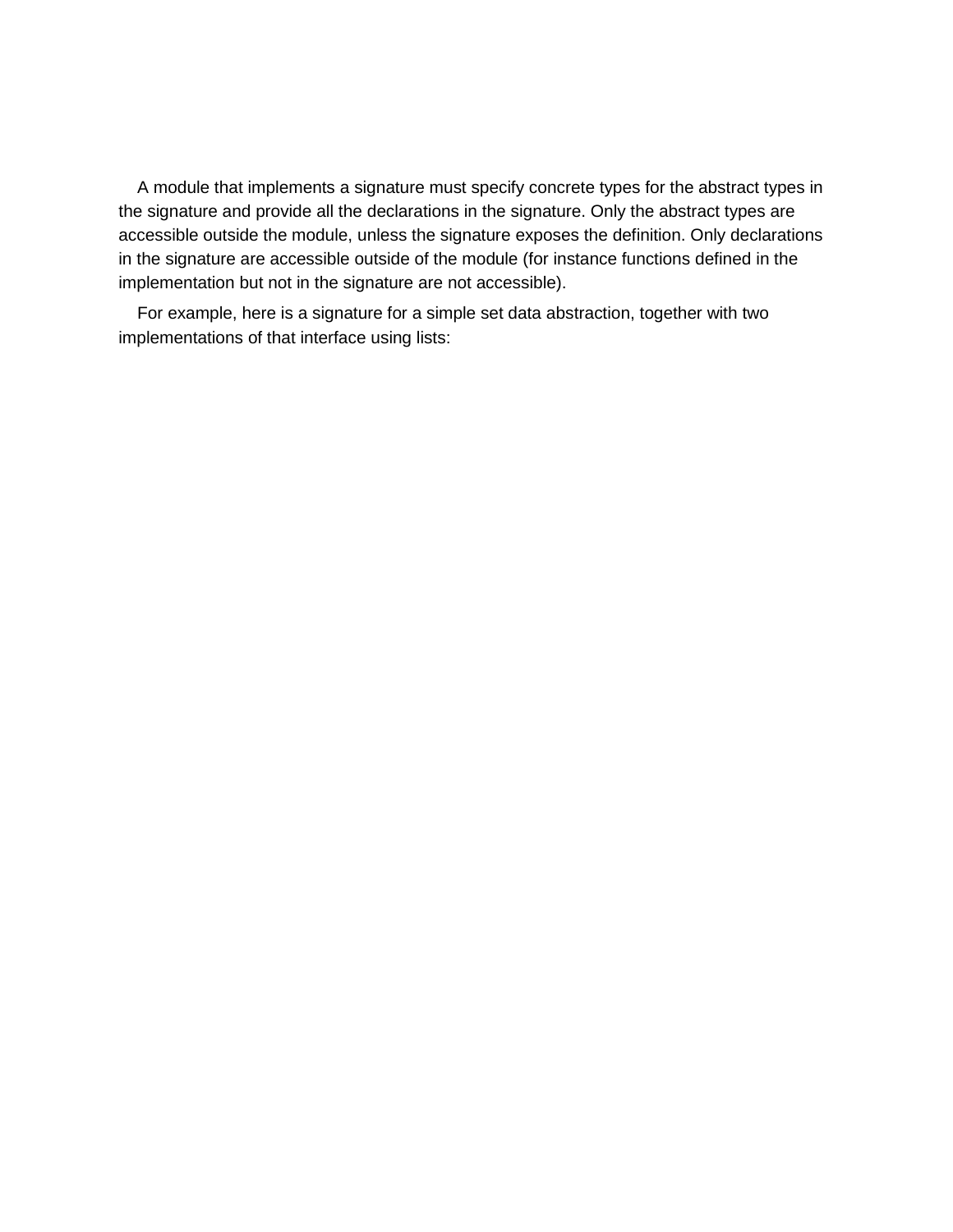A module that implements a signature must specify concrete types for the abstract types in the signature and provide all the declarations in the signature. Only the abstract types are accessible outside the module, unless the signature exposes the definition. Only declarations in the signature are accessible outside of the module (for instance functions defined in the implementation but not in the signature are not accessible).

For example, here is a signature for a simple set data abstraction, together with two implementations of that interface using lists: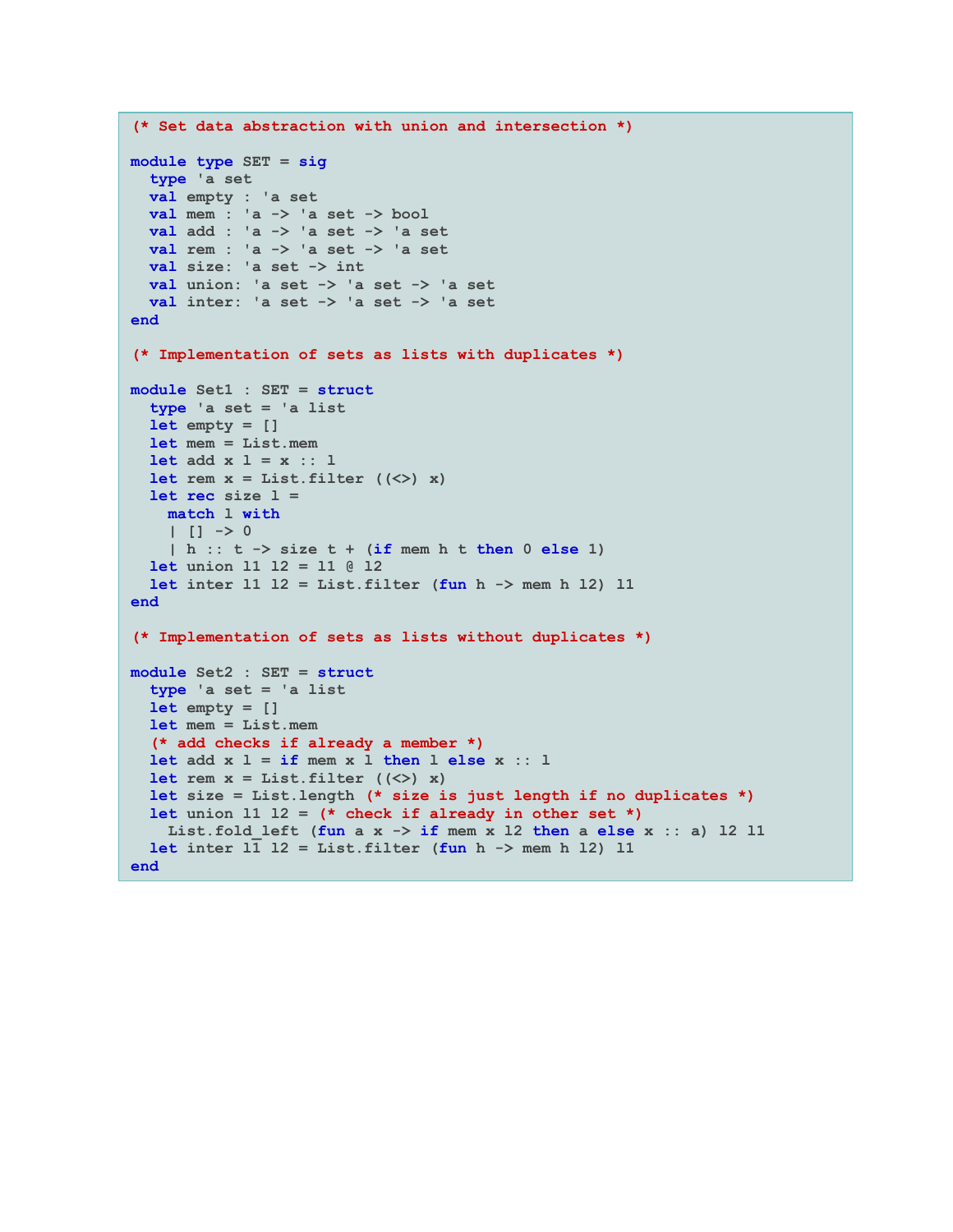```
(* Set data abstraction with union and intersection *)
module type SET = sig
   type 'a set
   val empty : 'a set
   val mem : 'a -> 'a set -> bool
   val add : 'a -> 'a set -> 'a set
   val rem : 'a -> 'a set -> 'a set
   val size: 'a set -> int
   val union: 'a set -> 'a set -> 'a set
   val inter: 'a set -> 'a set -> 'a set
end
(* Implementation of sets as lists with duplicates *)
module Set1 : SET = struct
   type 'a set = 'a list
   let empty = []
   let mem = List.mem
   let add x l = x :: l
  let rem x = List.fit(\langle \langle \rangle x \rangle)
   let rec size l = 
     match l with
     | [] -> 0
     | h :: t -> size t + (if mem h t then 0 else 1)
   let union l1 l2 = l1 @ l2
   let inter l1 l2 = List.filter (fun h -> mem h l2) l1
end
(* Implementation of sets as lists without duplicates *)
module Set2 : SET = struct
   type 'a set = 'a list
   let empty = []
   let mem = List.mem
   (* add checks if already a member *)
  let add x 1 = if mem x 1 then 1 else x :: 1let rem x = List.fit. fitter ((\langle \rangle) x) let size = List.length (* size is just length if no duplicates *)
   let union l1 l2 = (* check if already in other set *)
     List.fold_left (fun a x -> if mem x l2 then a else x :: a) l2 l1
   let inter l1 l2 = List.filter (fun h -> mem h l2) l1
end
```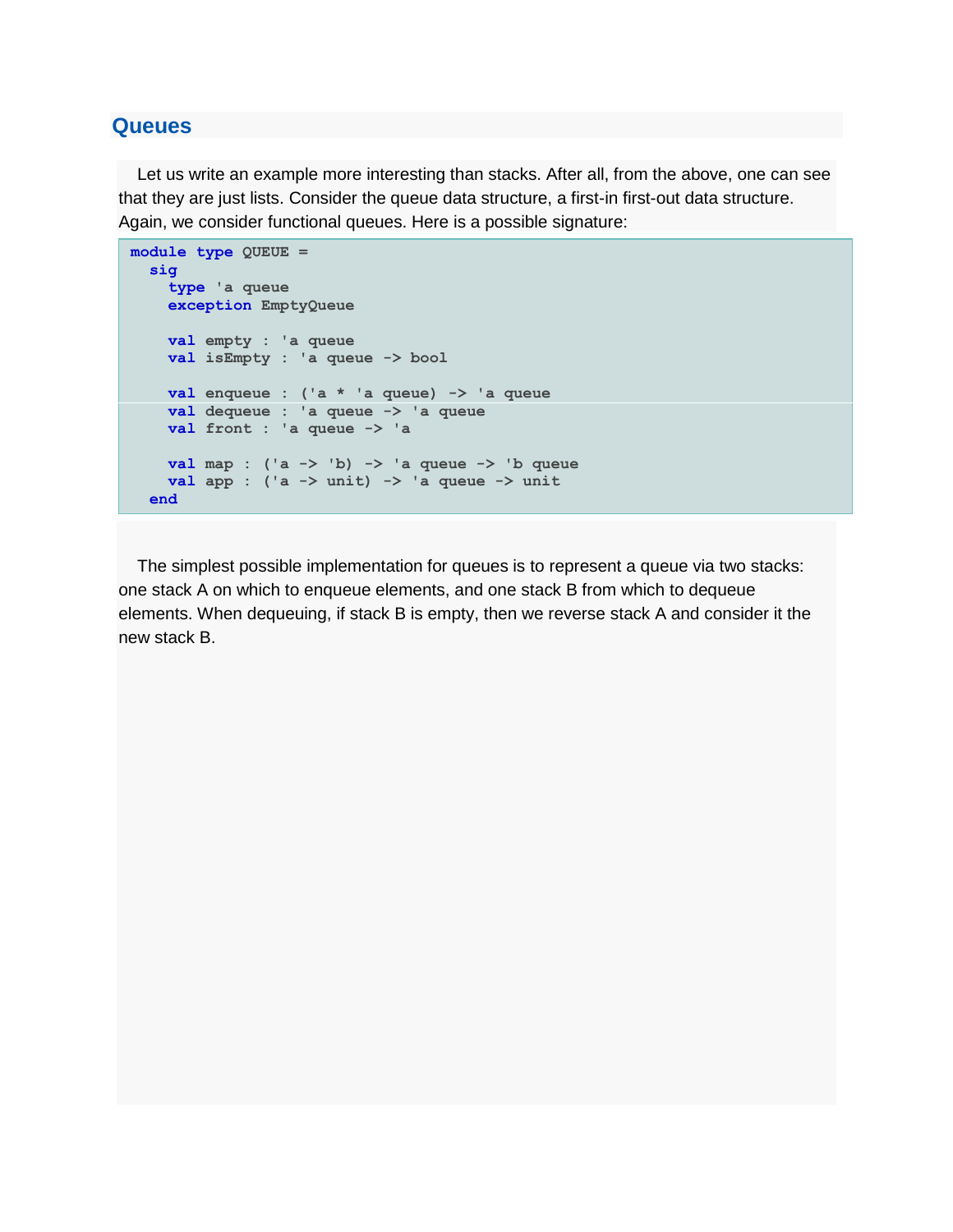#### **Queues**

Let us write an example more interesting than stacks. After all, from the above, one can see that they are just lists. Consider the queue data structure, a first-in first-out data structure. Again, we consider functional queues. Here is a possible signature:

```
module type QUEUE =
   sig
    type 'a queue
    exception EmptyQueue
    val empty : 'a queue
    val isEmpty : 'a queue -> bool
    val enqueue : ('a * 'a queue) -> 'a queue
    val dequeue : 'a queue -> 'a queue
    val front : 'a queue -> 'a
    val map : ('a -> 'b) -> 'a queue -> 'b queue
     val app : ('a -> unit) -> 'a queue -> unit 
   end
```
The simplest possible implementation for queues is to represent a queue via two stacks: one stack A on which to enqueue elements, and one stack B from which to dequeue elements. When dequeuing, if stack B is empty, then we reverse stack A and consider it the new stack B.